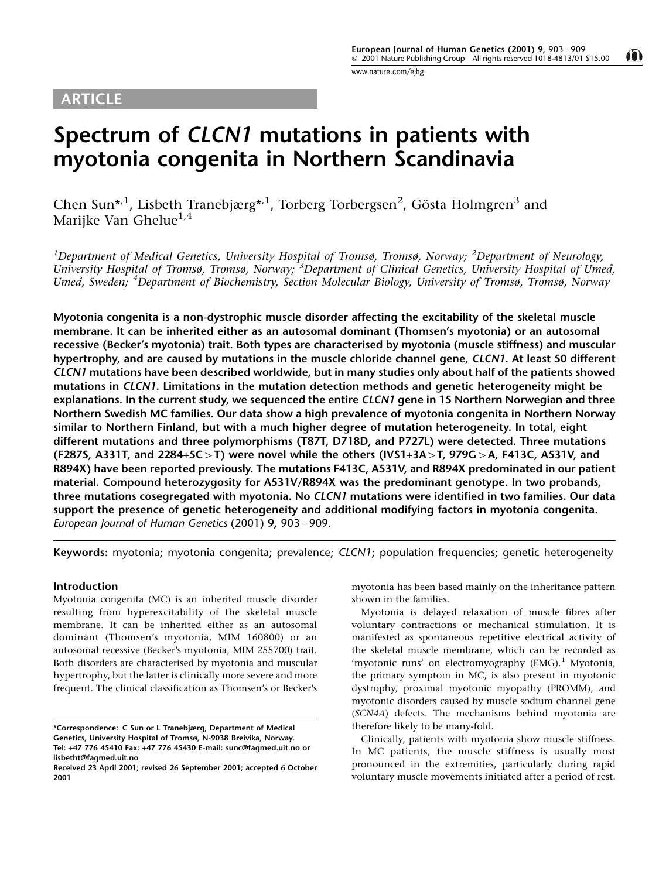# <span id="page-0-0"></span>ARTICLE

 $\mathbf 0$ 

# Spectrum of CLCN1 mutations in patients with myotonia congenita in Northern Scandinavia

Chen Sun\*<sup>,1</sup>, Lisbeth Tranebjærg\*<sup>,1</sup>, Torberg Torbergsen<sup>2</sup>, Gösta Holmgren<sup>3</sup> and Marijke Van Ghelue<sup>1,4</sup>

<sup>1</sup>Department of Medical Genetics, University Hospital of Tromsø, Tromsø, Norway; <sup>2</sup>Department of Neurology, University Hospital of Tromsø, Tromsø, Norway; <sup>3</sup>Department of Clinical Genetics, University Hospital of Umeå, Umeå, Sweden; <sup>4</sup>Department of Biochemistry, Section Molecular Biology, University of Tromsø, Tromsø, Norway

Myotonia congenita is a non-dystrophic muscle disorder affecting the excitability of the skeletal muscle membrane. It can be inherited either as an autosomal dominant (Thomsen's myotonia) or an autosomal recessive (Becker's myotonia) trait. Both types are characterised by myotonia (muscle stiffness) and muscular hypertrophy, and are caused by mutations in the muscle chloride channel gene, CLCN1. At least 50 different CLCN1 mutations have been described worldwide, but in many studies only about half of the patients showed mutations in CLCN1. Limitations in the mutation detection methods and genetic heterogeneity might be explanations. In the current study, we sequenced the entire CLCN1 gene in 15 Northern Norwegian and three Northern Swedish MC families. Our data show a high prevalence of myotonia congenita in Northern Norway similar to Northern Finland, but with a much higher degree of mutation heterogeneity. In total, eight different mutations and three polymorphisms (T87T, D718D, and P727L) were detected. Three mutations (F287S, A331T, and 2284+5C>T) were novel while the others (IVS1+3A>T, 979G>A, F413C, A531V, and R894X) have been reported previously. The mutations F413C, A531V, and R894X predominated in our patient material. Compound heterozygosity for A531V/R894X was the predominant genotype. In two probands, three mutations cosegregated with myotonia. No CLCN1 mutations were identified in two families. Our data support the presence of genetic heterogeneity and additional modifying factors in myotonia congenita. European Journal of Human Genetics (2001)  $9, 903 - 909$ .

Keywords: myotonia; myotonia congenita; prevalence; CLCN1; population frequencies; genetic heterogeneity

### Introduction

Myotonia congenita (MC) is an inherited muscle disorder resulting from hyperexcitability of the skeletal muscle membrane. It can be inherited either as an autosomal dominant (Thomsen's myotonia, MIM 160800) or an autosomal recessive (Becker's myotonia, MIM 255700) trait. Both disorders are characterised by myotonia and muscular hypertrophy, but the latter is clinically more severe and more frequent. The clinical classification as Thomsen's or Becker's

myotonia has been based mainly on the inheritance pattern shown in the families.

Myotonia is delayed relaxation of muscle fibres after voluntary contractions or mechanical stimulation. It is manifested as spontaneous repetitive electrical activity of the skeletal muscle membrane, which can be recorded as 'myotonic runs' on electromyography  $(EMG).$ <sup>[1](#page-6-0)</sup> Myotonia, the primary symptom in MC, is also present in myotonic dystrophy, proximal myotonic myopathy (PROMM), and myotonic disorders caused by muscle sodium channel gene (SCN4A) defects. The mechanisms behind myotonia are therefore likely to be many-fold.

Clinically, patients with myotonia show muscle stiffness. In MC patients, the muscle stiffness is usually most pronounced in the extremities, particularly during rapid voluntary muscle movements initiated after a period of rest.

<sup>\*</sup>Correspondence: C Sun or L Tranebjærg, Department of Medical Genetics, University Hospital of Tromsø, N-9038 Breivika, Norway. Tel: +47 776 45410 Fax: +47 776 45430 E-mail: sunc@fagmed.uit.no or lisbetht@fagmed.uit.no

Received 23 April 2001; revised 26 September 2001; accepted 6 October 2001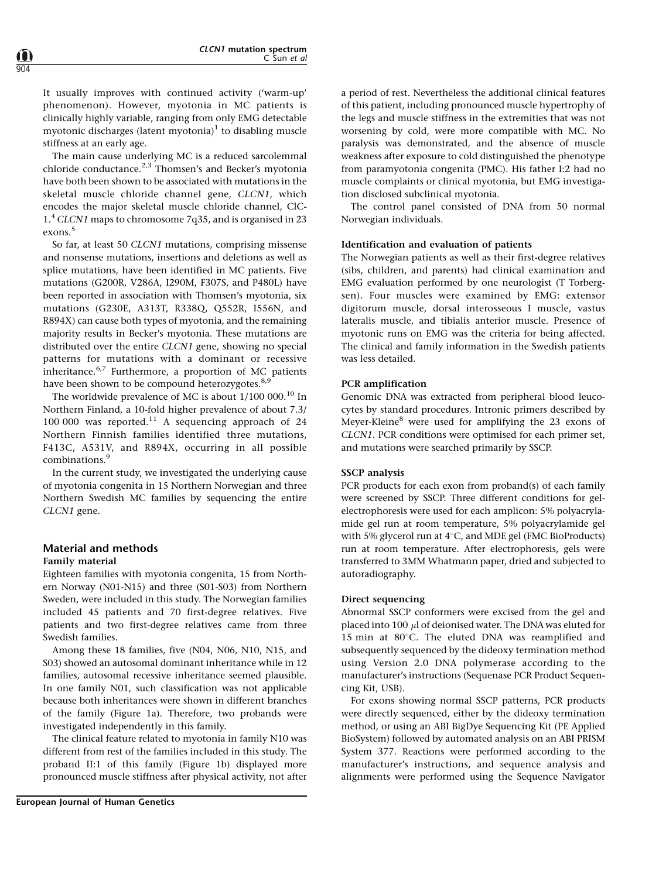It usually improves with continued activity ('warm-up' phenomenon). However, myotonia in MC patients is clinically highly variable, ranging from only EMG detectable myotonic discharges (latent myotonia) $<sup>1</sup>$  $<sup>1</sup>$  $<sup>1</sup>$  to disabling muscle</sup> stiffness at an early age.

The main cause underlying MC is a reduced sarcolemmal chloride conductance.<sup>[2,3](#page-6-0)</sup> Thomsen's and Becker's myotonia have both been shown to be associated with mutations in the skeletal muscle chloride channel gene, CLCN1, which encodes the major skeletal muscle chloride channel, ClC-1.<sup>[4](#page-6-0)</sup> CLCN1 maps to chromosome 7q35, and is organised in 23 exons.<sup>[5](#page-6-0)</sup>

So far, at least 50 CLCN1 mutations, comprising missense and nonsense mutations, insertions and deletions as well as splice mutations, have been identified in MC patients. Five mutations (G200R, V286A, I290M, F307S, and P480L) have been reported in association with Thomsen's myotonia, six mutations (G230E, A313T, R338Q, Q552R, I556N, and R894X) can cause both types of myotonia, and the remaining majority results in Becker's myotonia. These mutations are distributed over the entire CLCN1 gene, showing no special patterns for mutations with a dominant or recessive inheritance. $6.7$  Furthermore, a proportion of MC patients have been shown to be compound heterozygotes.<sup>[8,9](#page-6-0)</sup>

The worldwide prevalence of MC is about  $1/100 000$  $1/100 000$  $1/100 000$ .<sup>10</sup> In Northern Finland, a 10-fold higher prevalence of about 7.3/ 100 000 was reported. $11$  A sequencing approach of 24 Northern Finnish families identified three mutations, F413C, A531V, and R894X, occurring in all possible combinations.<sup>[9](#page-6-0)</sup>

In the current study, we investigated the underlying cause of myotonia congenita in 15 Northern Norwegian and three Northern Swedish MC families by sequencing the entire CLCN1 gene.

# Material and methods Family material

Eighteen families with myotonia congenita, 15 from Northern Norway (N01-N15) and three (S01-S03) from Northern Sweden, were included in this study. The Norwegian families included 45 patients and 70 first-degree relatives. Five patients and two first-degree relatives came from three Swedish families.

Among these 18 families, five (N04, N06, N10, N15, and S03) showed an autosomal dominant inheritance while in 12 families, autosomal recessive inheritance seemed plausible. In one family N01, such classification was not applicable because both inheritances were shown in different branches of the family ([Figure 1a](#page-2-0)). Therefore, two probands were investigated independently in this family.

The clinical feature related to myotonia in family N10 was different from rest of the families included in this study. The proband II:1 of this family (Figure 1b) displayed more pronounced muscle stiffness after physical activity, not after

a period of rest. Nevertheless the additional clinical features of this patient, including pronounced muscle hypertrophy of the legs and muscle stiffness in the extremities that was not worsening by cold, were more compatible with MC. No paralysis was demonstrated, and the absence of muscle weakness after exposure to cold distinguished the phenotype from paramyotonia congenita (PMC). His father I:2 had no muscle complaints or clinical myotonia, but EMG investigation disclosed subclinical myotonia.

The control panel consisted of DNA from 50 normal Norwegian individuals.

#### Identification and evaluation of patients

The Norwegian patients as well as their first-degree relatives (sibs, children, and parents) had clinical examination and EMG evaluation performed by one neurologist (T Torbergsen). Four muscles were examined by EMG: extensor digitorum muscle, dorsal interosseous I muscle, vastus lateralis muscle, and tibialis anterior muscle. Presence of myotonic runs on EMG was the criteria for being affected. The clinical and family information in the Swedish patients was less detailed.

### PCR amplification

Genomic DNA was extracted from peripheral blood leucocytes by standard procedures. Intronic primers described by Meyer-Kleine[8](#page-6-0) were used for amplifying the 23 exons of CLCN1. PCR conditions were optimised for each primer set, and mutations were searched primarily by SSCP.

#### SSCP analysis

PCR products for each exon from proband(s) of each family were screened by SSCP. Three different conditions for gelelectrophoresis were used for each amplicon: 5% polyacrylamide gel run at room temperature, 5% polyacrylamide gel with 5% glycerol run at  $4^{\circ}$ C, and MDE gel (FMC BioProducts) run at room temperature. After electrophoresis, gels were transferred to 3MM Whatmann paper, dried and subjected to autoradiography.

#### Direct sequencing

Abnormal SSCP conformers were excised from the gel and placed into 100  $\mu$ l of deionised water. The DNA was eluted for 15 min at  $80^{\circ}$ C. The eluted DNA was reamplified and subsequently sequenced by the dideoxy termination method using Version 2.0 DNA polymerase according to the manufacturer's instructions (Sequenase PCR Product Sequencing Kit, USB).

For exons showing normal SSCP patterns, PCR products were directly sequenced, either by the dideoxy termination method, or using an ABI BigDye Sequencing Kit (PE Applied BioSystem) followed by automated analysis on an ABI PRISM System 377. Reactions were performed according to the manufacturer's instructions, and sequence analysis and alignments were performed using the Sequence Navigator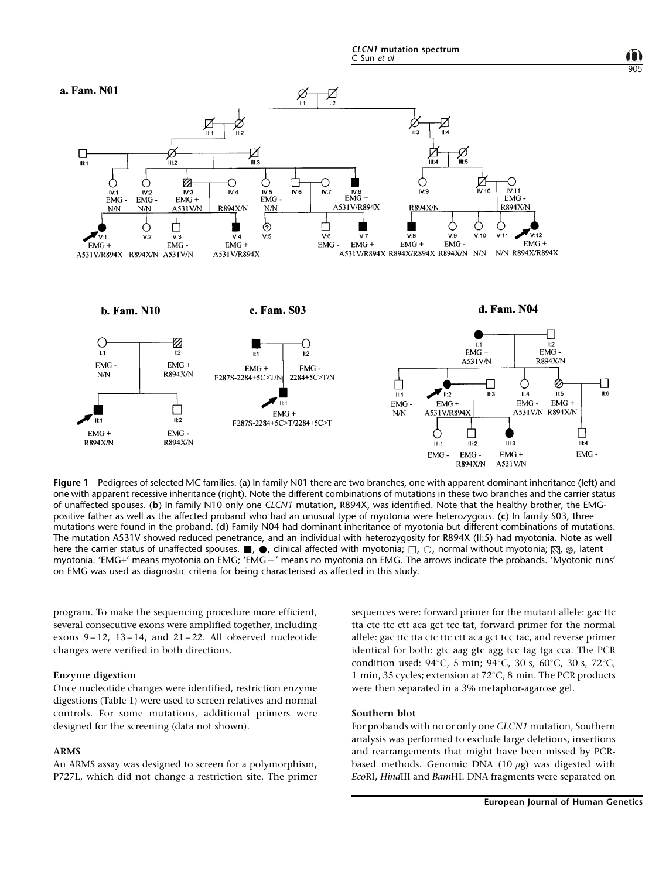

905

<span id="page-2-0"></span>

Figure 1 Pedigrees of selected MC families. (a) In family N01 there are two branches, one with apparent dominant inheritance (left) and one with apparent recessive inheritance (right). Note the different combinations of mutations in these two branches and the carrier status of unaffected spouses. (b) In family N10 only one CLCN1 mutation, R894X, was identified. Note that the healthy brother, the EMGpositive father as well as the affected proband who had an unusual type of myotonia were heterozygous. (c) In family S03, three mutations were found in the proband. (d) Family N04 had dominant inheritance of myotonia but different combinations of mutations. The mutation A531V showed reduced penetrance, and an individual with heterozygosity for R894X (II:5) had myotonia. Note as well here the carrier status of unaffected spouses.  $\blacksquare$ ,  $\spadesuit$ , clinical affected with myotonia;  $\Box$ ,  $\bigcirc$ , normal without myotonia;  $\boxtimes$ ,  $\otimes$ , latent myotonia. 'EMG+' means myotonia on EMG; 'EMG-' means no myotonia on EMG. The arrows indicate the probands. 'Myotonic runs' on EMG was used as diagnostic criteria for being characterised as affected in this study.

program. To make the sequencing procedure more efficient, several consecutive exons were amplified together, including exons  $9-12$ ,  $13-14$ , and  $21-22$ . All observed nucleotide changes were verified in both directions.

# Enzyme digestion

Once nucleotide changes were identified, restriction enzyme digestions [\(Table 1](#page-3-0)) were used to screen relatives and normal controls. For some mutations, additional primers were designed for the screening (data not shown).

#### ARMS

An ARMS assay was designed to screen for a polymorphism, P727L, which did not change a restriction site. The primer sequences were: forward primer for the mutant allele: gac ttc tta ctc ttc ctt aca gct tcc tat, forward primer for the normal allele: gac ttc tta ctc ttc ctt aca gct tcc tac, and reverse primer identical for both: gtc aag gtc agg tcc tag tga cca. The PCR condition used:  $94^{\circ}$ C, 5 min;  $94^{\circ}$ C, 30 s, 60 $^{\circ}$ C, 30 s, 72 $^{\circ}$ C, 1 min, 35 cycles; extension at  $72^{\circ}$ C, 8 min. The PCR products were then separated in a 3% metaphor-agarose gel.

#### Southern blot

For probands with no or only one CLCN1 mutation, Southern analysis was performed to exclude large deletions, insertions and rearrangements that might have been missed by PCRbased methods. Genomic DNA  $(10 \mu g)$  was digested with EcoRI, HindIII and BamHI. DNA fragments were separated on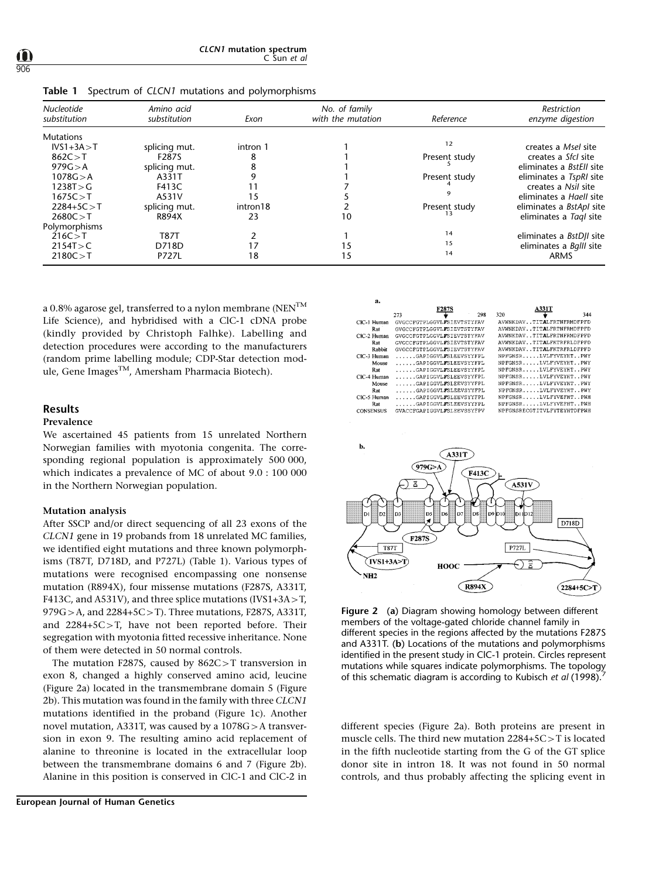<span id="page-3-0"></span>

|  | Table 1 Spectrum of CLCN1 mutations and polymorphisms |  |  |  |  |  |
|--|-------------------------------------------------------|--|--|--|--|--|
|--|-------------------------------------------------------|--|--|--|--|--|

| <b>Nucleotide</b><br>substitution | Amino acid<br>substitution | Exon     | No. of family<br>with the mutation | Reference     | Restriction<br>enzyme digestion |
|-----------------------------------|----------------------------|----------|------------------------------------|---------------|---------------------------------|
| <b>Mutations</b>                  |                            |          |                                    |               |                                 |
| $IVS1+3A > T$                     | splicing mut.              | intron 1 |                                    | 12            | creates a Msel site             |
| 862C > T                          | F287S                      | 8        |                                    | Present study | creates a Sfcl site             |
| 979G > A                          | splicing mut.              |          |                                    |               | eliminates a <i>BstEll</i> site |
| 1078G > A                         | A331T                      |          |                                    | Present study | eliminates a TspRI site         |
| 1238T > G                         | F413C                      |          |                                    |               | creates a Nsil site             |
| 1675C > T                         | A531V                      | 15       |                                    |               | eliminates a Haell site         |
| $2284+5C > T$                     | splicing mut.              | intron18 |                                    | Present study | eliminates a <i>BstApl</i> site |
| 2680C > T                         | <b>R894X</b>               | 23       | 10                                 | 13            | eliminates a Tagl site          |
| Polymorphisms                     |                            |          |                                    |               |                                 |
| 216C > T                          | <b>T87T</b>                |          |                                    | 14            | eliminates a <i>BstDII</i> site |
| 2154T > C                         | D718D                      | 17       | 15                                 | 15            | eliminates a Bglll site         |
| 2180C > T                         | <b>P727L</b>               | 18       | 15                                 | 14            | ARMS                            |

 $\ddot{\mathbf{a}}$ 

a 0.8% agarose gel, transferred to a nylon membrane (NEN<sup>TM</sup> Life Science), and hybridised with a ClC-1 cDNA probe (kindly provided by Christoph Falhke). Labelling and detection procedures were according to the manufacturers (random prime labelling module; CDP-Star detection module, Gene Images<sup>TM</sup>, Amersham Pharmacia Biotech).

#### Results

# Prevalence

We ascertained 45 patients from 15 unrelated Northern Norwegian families with myotonia congenita. The corresponding regional population is approximately 500 000, which indicates a prevalence of MC of about 9.0 : 100 000 in the Northern Norwegian population.

#### Mutation analysis

After SSCP and/or direct sequencing of all 23 exons of the CLCN1 gene in 19 probands from 18 unrelated MC families, we identified eight mutations and three known polymorphisms (T87T, D718D, and P727L) [\(Table 1](#page-0-0)). Various types of mutations were recognised encompassing one nonsense mutation (R894X), four missense mutations (F287S, A331T, F413C, and A531V), and three splice mutations (IVS1+3A  $>$  T,  $979G > A$ , and  $2284+5C > T$ ). Three mutations, F287S, A331T, and  $2284+5C>T$ , have not been reported before. Their segregation with myotonia fitted recessive inheritance. None of them were detected in 50 normal controls.

The mutation F287S, caused by  $862C > T$  transversion in exon 8, changed a highly conserved amino acid, leucine (Figure 2a) located in the transmembrane domain 5 (Figure 2b). This mutation was found in the family with three CLCN1 mutations identified in the proband (Figure 1c). Another novel mutation, A331T, was caused by a  $1078G > A$  transversion in exon 9. The resulting amino acid replacement of alanine to threonine is located in the extracellular loop between the transmembrane domains 6 and 7 (Figure 2b). Alanine in this position is conserved in ClC-1 and ClC-2 in

|                  |                                   | F287S |     |     | A3311                       |     |
|------------------|-----------------------------------|-------|-----|-----|-----------------------------|-----|
|                  | 273                               |       | 298 | 320 |                             | 344 |
| CIC-1 Human      | GVGCCFGTPLGGVLFSIEVTSTYFAV        |       |     |     | AVWNKDAVTITALFRTNFRMDFPFD   |     |
| Rat              | GVGCCFGTPLGGVLFSIEVTSTYFAV        |       |     |     | AVWNKDAVTITALFRTNFRMDFPFD   |     |
| CIC-2 Human      | GVGCCFGTPLGGVLFSIEVTSTYFAV        |       |     |     | AVWNKDAVTITALFRTNFRMDFPFD   |     |
| Rat              | GVGCCFGTPLGGVLFSIEVTSTYFAV        |       |     |     | AVWNKDAVTITALFKTRFRLDFPFD   |     |
| Rabbit           | <b>GVGCCFGTPLGGVLFSIEVTSTYFAV</b> |       |     |     | AVWNKDAVTITALFKTRFRLDFPFD   |     |
| CIC-3 Human      | GAPIGGVLFSLEEVSYYFPL              |       |     |     | NPFGNSRI.VLFYVEYHTPWY       |     |
| Mouse            | GAPIGGVLFSLEEVSYYFPL              |       |     |     | NPFGNSRIVLFYVEYHTPWY        |     |
| Rat              | GAPIGGVLFSLEEVSYYFPL              |       |     |     | NPFGNSRI.VI.FYVEYHTPWY      |     |
| CIC-4 Human      | GAPIGGVLFSLEEVSYYFPL              |       |     |     | NPFGNSRIVLFYVEYHTPWY        |     |
| Mouse            | CAPIGGVL <b>E</b> SLEEVSYYFPL     |       |     |     | NPFGNSRLVLFYVEYHTPWY        |     |
| Rat              | GAPIGGVLFSLEEVSYYFPL              |       |     |     | NPFGNSRT.VLFYVEYHTPWY       |     |
| CIC-5 Human      | GAPIGGVLFSLEEVSYYFPL              |       |     |     | NPFGNSRLVLFYVEFHTPWH        |     |
| Rat              | GAPIGGVLFSLEEVSYYFPL              |       |     |     | NPFGNSRIVLFYVEFHTPWH        |     |
| <b>CONSENSUS</b> | GVACCFGAPIGGVLFSLEEVSSYFPV        |       |     |     | NPFGNSRECGTITVLFYTEYHTDFPWH |     |
|                  |                                   |       |     |     |                             |     |



Figure 2 (a) Diagram showing homology between different members of the voltage-gated chloride channel family in different species in the regions affected by the mutations F287S and A331T. (b) Locations of the mutations and polymorphisms identified in the present study in ClC-1 protein. Circles represent mutations while squares indicate polymorphisms. The topology of this schematic diagram is according to Kubisch et al (1998).

different species (Figure 2a). Both proteins are present in muscle cells. The third new mutation  $2284+5C>T$  is located in the fifth nucleotide starting from the G of the GT splice donor site in intron 18. It was not found in 50 normal controls, and thus probably affecting the splicing event in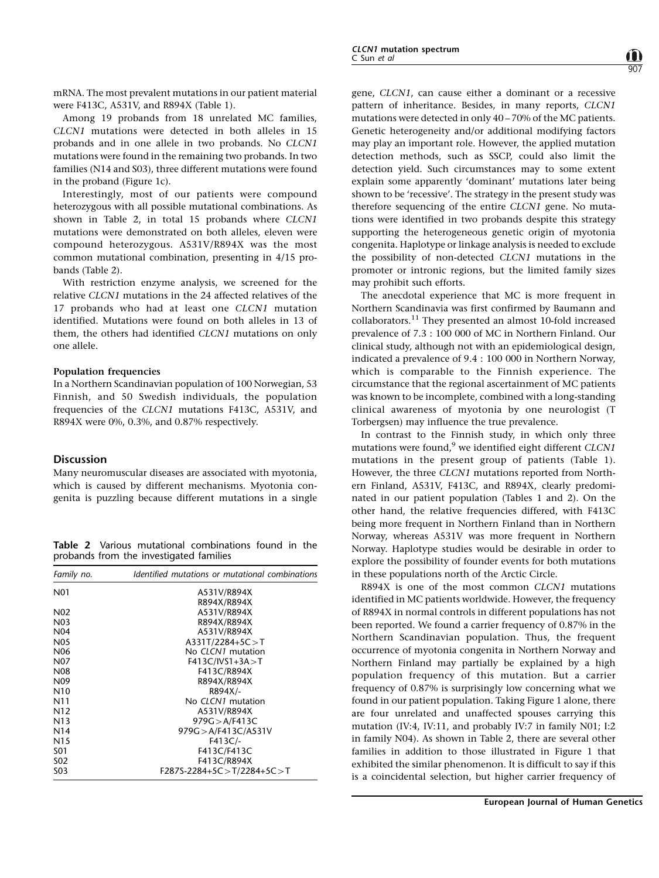mRNA. The most prevalent mutations in our patient material were F413C, A531V, and R894X [\(Table 1](#page-0-0)).

Among 19 probands from 18 unrelated MC families, CLCN1 mutations were detected in both alleles in 15 probands and in one allele in two probands. No CLCN1 mutations were found in the remaining two probands. In two families (N14 and S03), three different mutations were found in the proband (Figure 1c).

Interestingly, most of our patients were compound heterozygous with all possible mutational combinations. As shown in Table 2, in total 15 probands where CLCN1 mutations were demonstrated on both alleles, eleven were compound heterozygous. A531V/R894X was the most common mutational combination, presenting in 4/15 probands [\(Table 2](#page-0-0)).

With restriction enzyme analysis, we screened for the relative CLCN1 mutations in the 24 affected relatives of the 17 probands who had at least one CLCN1 mutation identified. Mutations were found on both alleles in 13 of them, the others had identified CLCN1 mutations on only one allele.

#### Population frequencies

In a Northern Scandinavian population of 100 Norwegian, 53 Finnish, and 50 Swedish individuals, the population frequencies of the CLCN1 mutations F413C, A531V, and R894X were 0%, 0.3%, and 0.87% respectively.

## Discussion

Many neuromuscular diseases are associated with myotonia, which is caused by different mechanisms. Myotonia congenita is puzzling because different mutations in a single

Table 2 Various mutational combinations found in the probands from the investigated families

| Family no.       | Identified mutations or mutational combinations |
|------------------|-------------------------------------------------|
| N01              | A531V/R894X                                     |
|                  | R894X/R894X                                     |
| N <sub>0</sub> 2 | A531V/R894X                                     |
| N <sub>0</sub> 3 | R894X/R894X                                     |
| N <sub>04</sub>  | A531V/R894X                                     |
| N <sub>05</sub>  | $A331T/2284+5C > T$                             |
| N <sub>06</sub>  | No CLCN1 mutation                               |
| N <sub>0</sub> 7 | $F413C/IVS1+3A > T$                             |
| N <sub>0</sub> 8 | F413C/R894X                                     |
| N <sub>09</sub>  | R894X/R894X                                     |
| N <sub>10</sub>  | R894X/-                                         |
| N11              | No CLCN1 mutation                               |
| N <sub>12</sub>  | A531V/R894X                                     |
| N <sub>1</sub> 3 | 979G > A/F413C                                  |
| N <sub>14</sub>  | 979G > A/F413C/A531V                            |
| N <sub>15</sub>  | $F413C/-$                                       |
| S01              | F413C/F413C                                     |
| S <sub>0</sub> 2 | F413C/R894X                                     |
| S <sub>0</sub> 3 | $F287S-2284+5C > T/2284+5C > T$                 |

gene, CLCN1, can cause either a dominant or a recessive pattern of inheritance. Besides, in many reports, CLCN1 mutations were detected in only  $40 - 70\%$  of the MC patients. Genetic heterogeneity and/or additional modifying factors may play an important role. However, the applied mutation detection methods, such as SSCP, could also limit the detection yield. Such circumstances may to some extent explain some apparently 'dominant' mutations later being shown to be 'recessive'. The strategy in the present study was therefore sequencing of the entire CLCN1 gene. No mutations were identified in two probands despite this strategy supporting the heterogeneous genetic origin of myotonia congenita. Haplotype or linkage analysis is needed to exclude the possibility of non-detected CLCN1 mutations in the promoter or intronic regions, but the limited family sizes may prohibit such efforts.

907

The anecdotal experience that MC is more frequent in Northern Scandinavia was first confirmed by Baumann and collaborators.[11](#page-6-0) They presented an almost 10-fold increased prevalence of 7.3 : 100 000 of MC in Northern Finland. Our clinical study, although not with an epidemiological design, indicated a prevalence of 9.4 : 100 000 in Northern Norway, which is comparable to the Finnish experience. The circumstance that the regional ascertainment of MC patients was known to be incomplete, combined with a long-standing clinical awareness of myotonia by one neurologist (T Torbergsen) may influence the true prevalence.

In contrast to the Finnish study, in which only three mutations were found, $9$  we identified eight different CLCN1 mutations in the present group of patients ([Table 1\)](#page-0-0). However, the three CLCN1 mutations reported from Northern Finland, A531V, F413C, and R894X, clearly predominated in our patient population ([Tables 1](#page-0-0) and [2](#page-0-0)). On the other hand, the relative frequencies differed, with F413C being more frequent in Northern Finland than in Northern Norway, whereas A531V was more frequent in Northern Norway. Haplotype studies would be desirable in order to explore the possibility of founder events for both mutations in these populations north of the Arctic Circle.

R894X is one of the most common CLCN1 mutations identified in MC patients worldwide. However, the frequency of R894X in normal controls in different populations has not been reported. We found a carrier frequency of 0.87% in the Northern Scandinavian population. Thus, the frequent occurrence of myotonia congenita in Northern Norway and Northern Finland may partially be explained by a high population frequency of this mutation. But a carrier frequency of 0.87% is surprisingly low concerning what we found in our patient population. Taking Figure 1 alone, there are four unrelated and unaffected spouses carrying this mutation (IV:4, IV:11, and probably IV:7 in family N01; I:2 in family N04). As shown in [Table 2](#page-0-0), there are several other families in addition to those illustrated in Figure 1 that exhibited the similar phenomenon. It is difficult to say if this is a coincidental selection, but higher carrier frequency of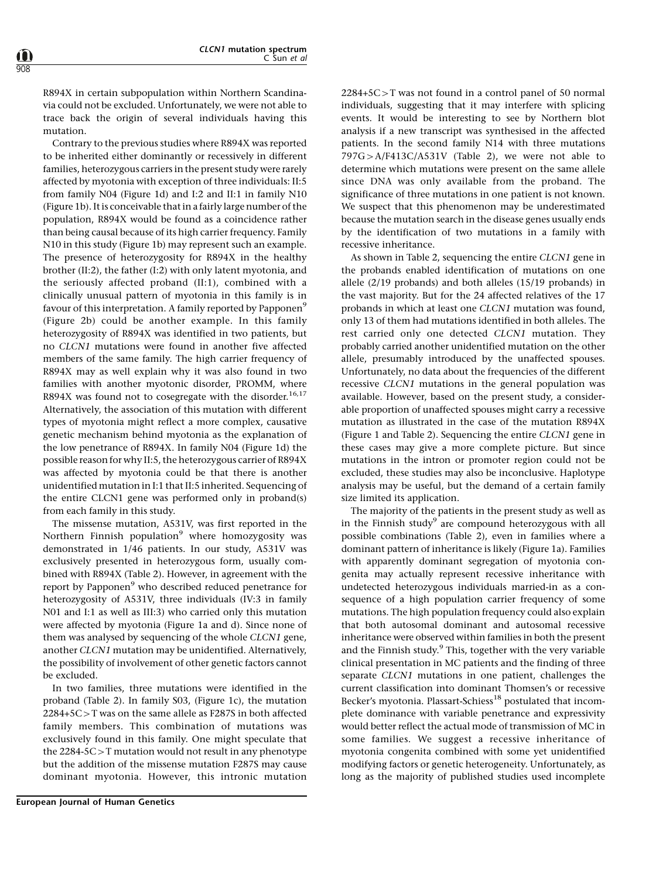R894X in certain subpopulation within Northern Scandinavia could not be excluded. Unfortunately, we were not able to trace back the origin of several individuals having this mutation.

Contrary to the previous studies where R894X was reported to be inherited either dominantly or recessively in different families, heterozygous carriers in the present study were rarely affected by myotonia with exception of three individuals: II:5 from family N04 (Figure 1d) and I:2 and II:1 in family N10 (Figure 1b). It is conceivable that in a fairly large number of the population, R894X would be found as a coincidence rather than being causal because of its high carrier frequency. Family N10 in this study (Figure 1b) may represent such an example. The presence of heterozygosity for R894X in the healthy brother (II:2), the father (I:2) with only latent myotonia, and the seriously affected proband (II:1), combined with a clinically unusual pattern of myotonia in this family is in favour of this interpretation. A family reported by Papponen<sup>[9](#page-6-0)</sup> (Figure 2b) could be another example. In this family heterozygosity of R894X was identified in two patients, but no CLCN1 mutations were found in another five affected members of the same family. The high carrier frequency of R894X may as well explain why it was also found in two families with another myotonic disorder, PROMM, where R894X was found not to cosegregate with the disorder.<sup>[16,17](#page-6-0)</sup> Alternatively, the association of this mutation with different types of myotonia might reflect a more complex, causative genetic mechanism behind myotonia as the explanation of the low penetrance of R894X. In family N04 (Figure 1d) the possible reason for why II:5, the heterozygous carrier of R894X was affected by myotonia could be that there is another unidentified mutation in I:1 that II:5 inherited. Sequencing of the entire CLCN1 gene was performed only in proband(s) from each family in this study.

The missense mutation, A531V, was first reported in the Northern Finnish population $9$  where homozygosity was demonstrated in 1/46 patients. In our study, A531V was exclusively presented in heterozygous form, usually combined with R894X [\(Table 2](#page-0-0)). However, in agreement with the report by Papponen<sup>[9](#page-6-0)</sup> who described reduced penetrance for heterozygosity of A531V, three individuals (IV:3 in family N01 and I:1 as well as III:3) who carried only this mutation were affected by myotonia (Figure 1a and d). Since none of them was analysed by sequencing of the whole CLCN1 gene, another CLCN1 mutation may be unidentified. Alternatively, the possibility of involvement of other genetic factors cannot be excluded.

In two families, three mutations were identified in the proband [\(Table 2](#page-0-0)). In family S03, (Figure 1c), the mutation  $2284+5C>T$  was on the same allele as F287S in both affected family members. This combination of mutations was exclusively found in this family. One might speculate that the  $2284-5C>T$  mutation would not result in any phenotype but the addition of the missense mutation F287S may cause dominant myotonia. However, this intronic mutation

 $2284+5C>T$  was not found in a control panel of 50 normal individuals, suggesting that it may interfere with splicing events. It would be interesting to see by Northern blot analysis if a new transcript was synthesised in the affected patients. In the second family N14 with three mutations  $797G > A/F413C/A531V$  ([Table 2\)](#page-0-0), we were not able to determine which mutations were present on the same allele since DNA was only available from the proband. The significance of three mutations in one patient is not known. We suspect that this phenomenon may be underestimated because the mutation search in the disease genes usually ends by the identification of two mutations in a family with recessive inheritance.

As shown in [Table 2](#page-0-0), sequencing the entire CLCN1 gene in the probands enabled identification of mutations on one allele (2/19 probands) and both alleles (15/19 probands) in the vast majority. But for the 24 affected relatives of the 17 probands in which at least one CLCN1 mutation was found, only 13 of them had mutations identified in both alleles. The rest carried only one detected CLCN1 mutation. They probably carried another unidentified mutation on the other allele, presumably introduced by the unaffected spouses. Unfortunately, no data about the frequencies of the different recessive CLCN1 mutations in the general population was available. However, based on the present study, a considerable proportion of unaffected spouses might carry a recessive mutation as illustrated in the case of the mutation R894X (Figure 1 and [Table 2\)](#page-0-0). Sequencing the entire CLCN1 gene in these cases may give a more complete picture. But since mutations in the intron or promoter region could not be excluded, these studies may also be inconclusive. Haplotype analysis may be useful, but the demand of a certain family size limited its application.

The majority of the patients in the present study as well as in the Finnish study<sup>[9](#page-6-0)</sup> are compound heterozygous with all possible combinations ([Table 2](#page-0-0)), even in families where a dominant pattern of inheritance is likely (Figure 1a). Families with apparently dominant segregation of myotonia congenita may actually represent recessive inheritance with undetected heterozygous individuals married-in as a consequence of a high population carrier frequency of some mutations. The high population frequency could also explain that both autosomal dominant and autosomal recessive inheritance were observed within families in both the present and the Finnish study.<sup>9</sup> This, together with the very variable clinical presentation in MC patients and the finding of three separate CLCN1 mutations in one patient, challenges the current classification into dominant Thomsen's or recessive Becker's myotonia. Plassart-Schiess<sup>[18](#page-6-0)</sup> postulated that incomplete dominance with variable penetrance and expressivity would better reflect the actual mode of transmission of MC in some families. We suggest a recessive inheritance of myotonia congenita combined with some yet unidentified modifying factors or genetic heterogeneity. Unfortunately, as long as the majority of published studies used incomplete